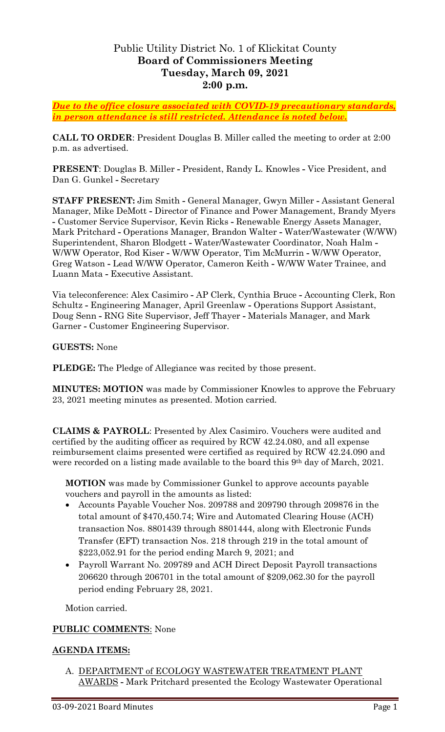# Public Utility District No. 1 of Klickitat County **Board of Commissioners Meeting Tuesday, March 09, 2021 2:00 p.m.**

*Due to the office closure associated with COVID-19 precautionary standards, in person attendance is still restricted. Attendance is noted below.*

**CALL TO ORDER**: President Douglas B. Miller called the meeting to order at 2:00 p.m. as advertised.

**PRESENT**: Douglas B. Miller **-** President, Randy L. Knowles **-** Vice President, and Dan G. Gunkel **-** Secretary

**STAFF PRESENT:** Jim Smith **-** General Manager, Gwyn Miller **-** Assistant General Manager, Mike DeMott **-** Director of Finance and Power Management, Brandy Myers **-** Customer Service Supervisor, Kevin Ricks **-** Renewable Energy Assets Manager, Mark Pritchard **-** Operations Manager, Brandon Walter **-** Water/Wastewater (W/WW) Superintendent, Sharon Blodgett **-** Water/Wastewater Coordinator, Noah Halm **-** W/WW Operator, Rod Kiser **-** W/WW Operator, Tim McMurrin **-** W/WW Operator, Greg Watson **-** Lead W/WW Operator, Cameron Keith **-** W/WW Water Trainee, and Luann Mata **-** Executive Assistant.

Via teleconference: Alex Casimiro **-** AP Clerk, Cynthia Bruce **-** Accounting Clerk, Ron Schultz **-** Engineering Manager, April Greenlaw **-** Operations Support Assistant, Doug Senn **-** RNG Site Supervisor, Jeff Thayer **-** Materials Manager, and Mark Garner **-** Customer Engineering Supervisor.

**GUESTS:** None

**PLEDGE:** The Pledge of Allegiance was recited by those present.

**MINUTES: MOTION** was made by Commissioner Knowles to approve the February 23, 2021 meeting minutes as presented. Motion carried.

**CLAIMS & PAYROLL**: Presented by Alex Casimiro. Vouchers were audited and certified by the auditing officer as required by RCW 42.24.080, and all expense reimbursement claims presented were certified as required by RCW 42.24.090 and were recorded on a listing made available to the board this 9<sup>th</sup> day of March, 2021.

**MOTION** was made by Commissioner Gunkel to approve accounts payable vouchers and payroll in the amounts as listed:

- Accounts Payable Voucher Nos. 209788 and 209790 through 209876 in the total amount of \$470,450.74; Wire and Automated Clearing House (ACH) transaction Nos. 8801439 through 8801444, along with Electronic Funds Transfer (EFT) transaction Nos. 218 through 219 in the total amount of \$223,052.91 for the period ending March 9, 2021; and
- Payroll Warrant No. 209789 and ACH Direct Deposit Payroll transactions 206620 through 206701 in the total amount of \$209,062.30 for the payroll period ending February 28, 2021.

Motion carried.

### **PUBLIC COMMENTS**: None

### **AGENDA ITEMS:**

A. DEPARTMENT of ECOLOGY WASTEWATER TREATMENT PLANT AWARDS **-** Mark Pritchard presented the Ecology Wastewater Operational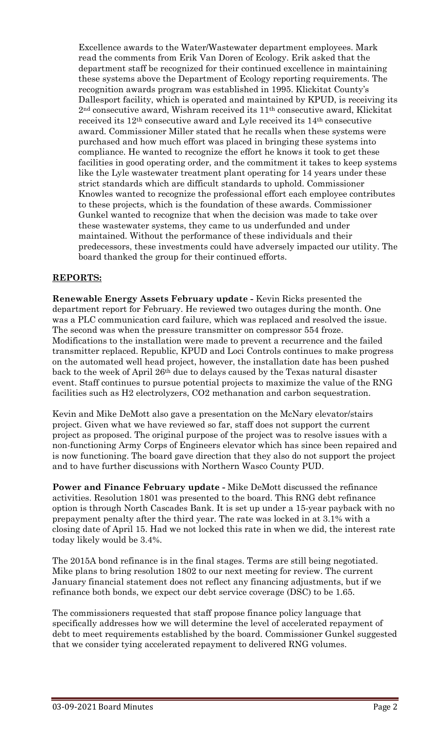Excellence awards to the Water/Wastewater department employees. Mark read the comments from Erik Van Doren of Ecology. Erik asked that the department staff be recognized for their continued excellence in maintaining these systems above the Department of Ecology reporting requirements. The recognition awards program was established in 1995. Klickitat County's Dallesport facility, which is operated and maintained by KPUD, is receiving its 2nd consecutive award, Wishram received its 11th consecutive award, Klickitat received its 12th consecutive award and Lyle received its 14th consecutive award. Commissioner Miller stated that he recalls when these systems were purchased and how much effort was placed in bringing these systems into compliance. He wanted to recognize the effort he knows it took to get these facilities in good operating order, and the commitment it takes to keep systems like the Lyle wastewater treatment plant operating for 14 years under these strict standards which are difficult standards to uphold. Commissioner Knowles wanted to recognize the professional effort each employee contributes to these projects, which is the foundation of these awards. Commissioner Gunkel wanted to recognize that when the decision was made to take over these wastewater systems, they came to us underfunded and under maintained. Without the performance of these individuals and their predecessors, these investments could have adversely impacted our utility. The board thanked the group for their continued efforts.

# **REPORTS:**

**Renewable Energy Assets February update -** Kevin Ricks presented the department report for February. He reviewed two outages during the month. One was a PLC communication card failure, which was replaced and resolved the issue. The second was when the pressure transmitter on compressor 554 froze. Modifications to the installation were made to prevent a recurrence and the failed transmitter replaced. Republic, KPUD and Loci Controls continues to make progress on the automated well head project, however, the installation date has been pushed back to the week of April 26th due to delays caused by the Texas natural disaster event. Staff continues to pursue potential projects to maximize the value of the RNG facilities such as H2 electrolyzers, CO2 methanation and carbon sequestration.

Kevin and Mike DeMott also gave a presentation on the McNary elevator/stairs project. Given what we have reviewed so far, staff does not support the current project as proposed. The original purpose of the project was to resolve issues with a non-functioning Army Corps of Engineers elevator which has since been repaired and is now functioning. The board gave direction that they also do not support the project and to have further discussions with Northern Wasco County PUD.

**Power and Finance February update -** Mike DeMott discussed the refinance activities. Resolution 1801 was presented to the board. This RNG debt refinance option is through North Cascades Bank. It is set up under a 15-year payback with no prepayment penalty after the third year. The rate was locked in at 3.1% with a closing date of April 15. Had we not locked this rate in when we did, the interest rate today likely would be 3.4%.

The 2015A bond refinance is in the final stages. Terms are still being negotiated. Mike plans to bring resolution 1802 to our next meeting for review. The current January financial statement does not reflect any financing adjustments, but if we refinance both bonds, we expect our debt service coverage (DSC) to be 1.65.

The commissioners requested that staff propose finance policy language that specifically addresses how we will determine the level of accelerated repayment of debt to meet requirements established by the board. Commissioner Gunkel suggested that we consider tying accelerated repayment to delivered RNG volumes.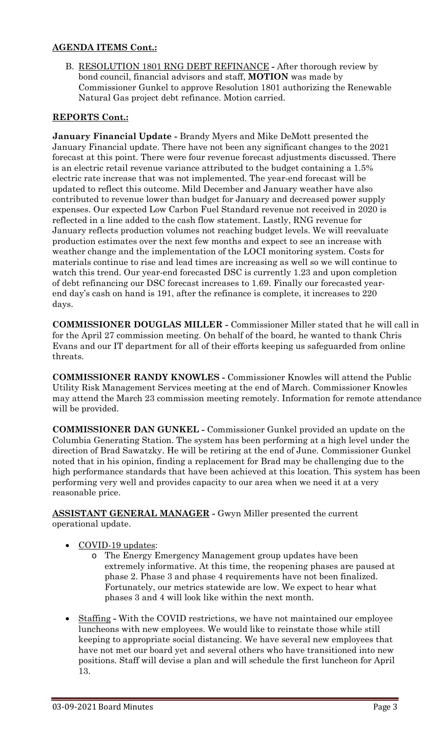# **AGENDA ITEMS Cont.:**

B. RESOLUTION 1801 RNG DEBT REFINANCE **-** After thorough review by bond council, financial advisors and staff, **MOTION** was made by Commissioner Gunkel to approve Resolution 1801 authorizing the Renewable Natural Gas project debt refinance. Motion carried.

# **REPORTS Cont.:**

**January Financial Update -** Brandy Myers and Mike DeMott presented the January Financial update. There have not been any significant changes to the 2021 forecast at this point. There were four revenue forecast adjustments discussed. There is an electric retail revenue variance attributed to the budget containing a 1.5% electric rate increase that was not implemented. The year-end forecast will be updated to reflect this outcome. Mild December and January weather have also contributed to revenue lower than budget for January and decreased power supply expenses. Our expected Low Carbon Fuel Standard revenue not received in 2020 is reflected in a line added to the cash flow statement. Lastly, RNG revenue for January reflects production volumes not reaching budget levels. We will reevaluate production estimates over the next few months and expect to see an increase with weather change and the implementation of the LOCI monitoring system. Costs for materials continue to rise and lead times are increasing as well so we will continue to watch this trend. Our year-end forecasted DSC is currently 1.23 and upon completion of debt refinancing our DSC forecast increases to 1.69. Finally our forecasted yearend day's cash on hand is 191, after the refinance is complete, it increases to 220 days.

**COMMISSIONER DOUGLAS MILLER -** Commissioner Miller stated that he will call in for the April 27 commission meeting. On behalf of the board, he wanted to thank Chris Evans and our IT department for all of their efforts keeping us safeguarded from online threats.

**COMMISSIONER RANDY KNOWLES -** Commissioner Knowles will attend the Public Utility Risk Management Services meeting at the end of March. Commissioner Knowles may attend the March 23 commission meeting remotely. Information for remote attendance will be provided.

**COMMISSIONER DAN GUNKEL -** Commissioner Gunkel provided an update on the Columbia Generating Station. The system has been performing at a high level under the direction of Brad Sawatzky. He will be retiring at the end of June. Commissioner Gunkel noted that in his opinion, finding a replacement for Brad may be challenging due to the high performance standards that have been achieved at this location. This system has been performing very well and provides capacity to our area when we need it at a very reasonable price.

**ASSISTANT GENERAL MANAGER -** Gwyn Miller presented the current operational update.

- COVID-19 updates:
	- o The Energy Emergency Management group updates have been extremely informative. At this time, the reopening phases are paused at phase 2. Phase 3 and phase 4 requirements have not been finalized. Fortunately, our metrics statewide are low. We expect to hear what phases 3 and 4 will look like within the next month.
- Staffing **-** With the COVID restrictions, we have not maintained our employee luncheons with new employees. We would like to reinstate those while still keeping to appropriate social distancing. We have several new employees that have not met our board yet and several others who have transitioned into new positions. Staff will devise a plan and will schedule the first luncheon for April 13.